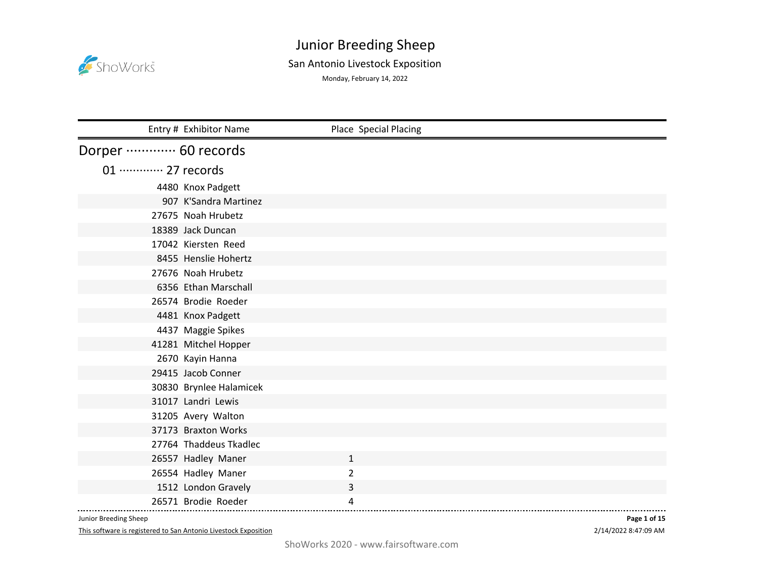

#### San Antonio Livestock Exposition

Monday, February 14, 2022

|                             | Entry # Exhibitor Name  | Place Special Placing |
|-----------------------------|-------------------------|-----------------------|
| Dorper ………… 60 records      |                         |                       |
| 01 ············· 27 records |                         |                       |
|                             | 4480 Knox Padgett       |                       |
|                             | 907 K'Sandra Martinez   |                       |
|                             | 27675 Noah Hrubetz      |                       |
|                             | 18389 Jack Duncan       |                       |
|                             | 17042 Kiersten Reed     |                       |
|                             | 8455 Henslie Hohertz    |                       |
|                             | 27676 Noah Hrubetz      |                       |
|                             | 6356 Ethan Marschall    |                       |
|                             | 26574 Brodie Roeder     |                       |
|                             | 4481 Knox Padgett       |                       |
|                             | 4437 Maggie Spikes      |                       |
|                             | 41281 Mitchel Hopper    |                       |
|                             | 2670 Kayin Hanna        |                       |
|                             | 29415 Jacob Conner      |                       |
|                             | 30830 Brynlee Halamicek |                       |
|                             | 31017 Landri Lewis      |                       |
|                             | 31205 Avery Walton      |                       |
|                             | 37173 Braxton Works     |                       |
|                             | 27764 Thaddeus Tkadlec  |                       |
|                             | 26557 Hadley Maner      | $\mathbf{1}$          |
|                             | 26554 Hadley Maner      | 2                     |
|                             | 1512 London Gravely     | 3                     |
|                             | 26571 Brodie Roeder     | 4                     |

Junior Breeding Sheep

This software is registered to San Antonio Livestock Exposition

2/14/2022 8:47:09 AM **Page 1 of 15**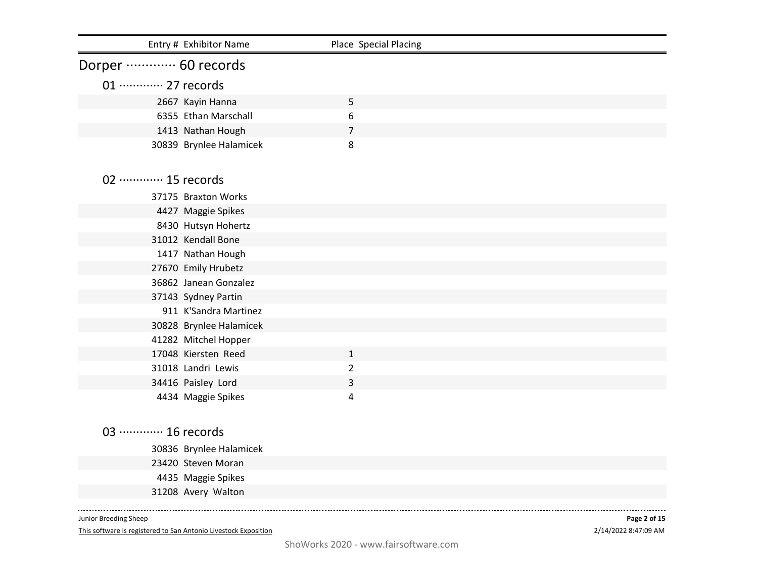| Entry # Exhibitor Name      | Place Special Placing |  |
|-----------------------------|-----------------------|--|
| Dorper ………… 60 records      |                       |  |
| 01 ············· 27 records |                       |  |
| 2667 Kayin Hanna            | 5                     |  |
| 6355 Ethan Marschall        | 6                     |  |
| 1413 Nathan Hough           | 7                     |  |
| 30839 Brynlee Halamicek     | 8                     |  |
| 02 ············· 15 records |                       |  |
| 37175 Braxton Works         |                       |  |
| 4427 Maggie Spikes          |                       |  |
| 8430 Hutsyn Hohertz         |                       |  |
| 31012 Kendall Bone          |                       |  |
| 1417 Nathan Hough           |                       |  |
| 27670 Emily Hrubetz         |                       |  |
| 36862 Janean Gonzalez       |                       |  |
| 37143 Sydney Partin         |                       |  |
| 911 K'Sandra Martinez       |                       |  |
| 30828 Brynlee Halamicek     |                       |  |
| 41282 Mitchel Hopper        |                       |  |
| 17048 Kiersten Reed         | $\mathbf{1}$          |  |
| 31018 Landri Lewis          | $\overline{2}$        |  |
| 34416 Paisley Lord          | 3                     |  |
| 4434 Maggie Spikes          | 4                     |  |
| 03 ············· 16 records |                       |  |
| 30836 Brynlee Halamicek     |                       |  |
| 23420 Steven Moran          |                       |  |
| 4435 Maggie Spikes          |                       |  |
| 31208 Avery Walton          |                       |  |
|                             |                       |  |

This software is registered to San Antonio Livestock Exposition

2/14/2022 8:47:09 AM **Page 2 of 15**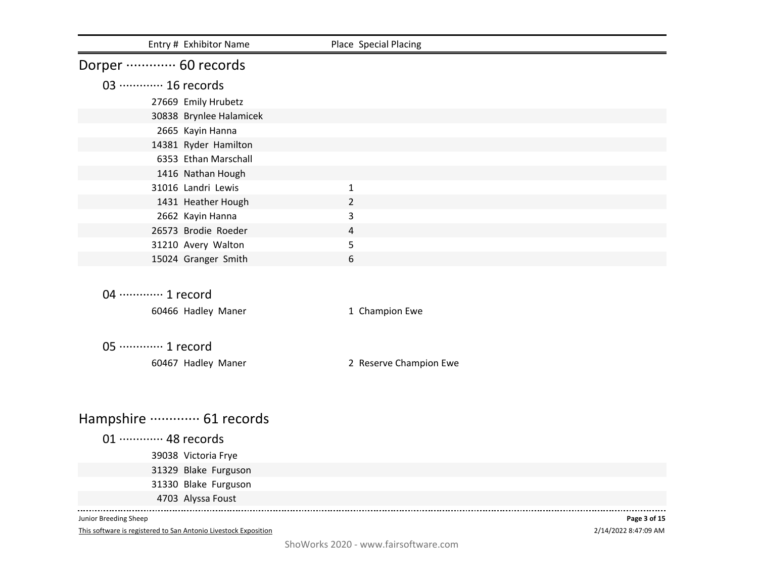| Entry # Exhibitor Name                                                                   | Place Special Placing  |                                      |
|------------------------------------------------------------------------------------------|------------------------|--------------------------------------|
| Dorper ………… 60 records                                                                   |                        |                                      |
| 03 ············· 16 records                                                              |                        |                                      |
| 27669 Emily Hrubetz                                                                      |                        |                                      |
| 30838 Brynlee Halamicek                                                                  |                        |                                      |
| 2665 Kayin Hanna                                                                         |                        |                                      |
| 14381 Ryder Hamilton                                                                     |                        |                                      |
| 6353 Ethan Marschall                                                                     |                        |                                      |
| 1416 Nathan Hough                                                                        |                        |                                      |
| 31016 Landri Lewis                                                                       | $\mathbf{1}$           |                                      |
| 1431 Heather Hough                                                                       | $\overline{2}$         |                                      |
| 2662 Kayin Hanna                                                                         | 3                      |                                      |
| 26573 Brodie Roeder                                                                      | $\overline{4}$         |                                      |
| 31210 Avery Walton                                                                       | 5                      |                                      |
| 15024 Granger Smith                                                                      | 6                      |                                      |
| 04 ………… 1 record                                                                         |                        |                                      |
|                                                                                          |                        |                                      |
| 60466 Hadley Maner                                                                       | 1 Champion Ewe         |                                      |
| 05 ············· 1 record                                                                |                        |                                      |
| 60467 Hadley Maner                                                                       | 2 Reserve Champion Ewe |                                      |
|                                                                                          |                        |                                      |
| Hampshire ………… 61 records                                                                |                        |                                      |
| 01 ············· 48 records                                                              |                        |                                      |
| 39038 Victoria Frye                                                                      |                        |                                      |
| 31329 Blake Furguson                                                                     |                        |                                      |
| 31330 Blake Furguson                                                                     |                        |                                      |
| 4703 Alyssa Foust                                                                        |                        |                                      |
|                                                                                          |                        |                                      |
| Junior Breeding Sheep<br>This software is registered to San Antonio Livestock Exposition |                        | Page 3 of 15<br>2/14/2022 8:47:09 AM |

ShoWorks 2020 - www.fairsoftware.com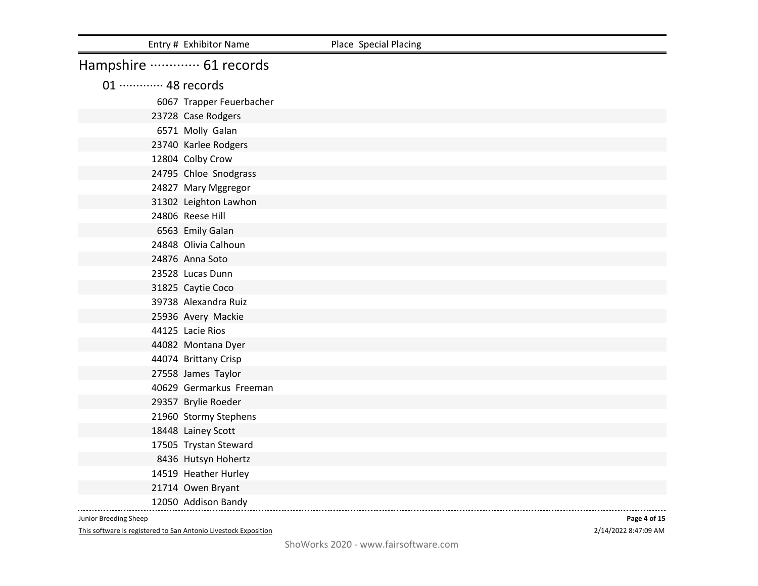|                             | Entry # Exhibitor Name   | Place Special Placing |
|-----------------------------|--------------------------|-----------------------|
| Hampshire ………… 61 records   |                          |                       |
| 01 ············· 48 records |                          |                       |
|                             | 6067 Trapper Feuerbacher |                       |
|                             | 23728 Case Rodgers       |                       |
|                             | 6571 Molly Galan         |                       |
|                             | 23740 Karlee Rodgers     |                       |
|                             | 12804 Colby Crow         |                       |
|                             | 24795 Chloe Snodgrass    |                       |
|                             | 24827 Mary Mggregor      |                       |
|                             | 31302 Leighton Lawhon    |                       |
|                             | 24806 Reese Hill         |                       |
|                             | 6563 Emily Galan         |                       |
|                             | 24848 Olivia Calhoun     |                       |
|                             | 24876 Anna Soto          |                       |
|                             | 23528 Lucas Dunn         |                       |
|                             | 31825 Caytie Coco        |                       |
|                             | 39738 Alexandra Ruiz     |                       |
|                             | 25936 Avery Mackie       |                       |
|                             | 44125 Lacie Rios         |                       |
|                             | 44082 Montana Dyer       |                       |
|                             | 44074 Brittany Crisp     |                       |
|                             | 27558 James Taylor       |                       |
|                             | 40629 Germarkus Freeman  |                       |
|                             | 29357 Brylie Roeder      |                       |
|                             | 21960 Stormy Stephens    |                       |
|                             | 18448 Lainey Scott       |                       |
|                             | 17505 Trystan Steward    |                       |
|                             | 8436 Hutsyn Hohertz      |                       |
|                             | 14519 Heather Hurley     |                       |
|                             | 21714 Owen Bryant        |                       |
|                             | 12050 Addison Bandy      |                       |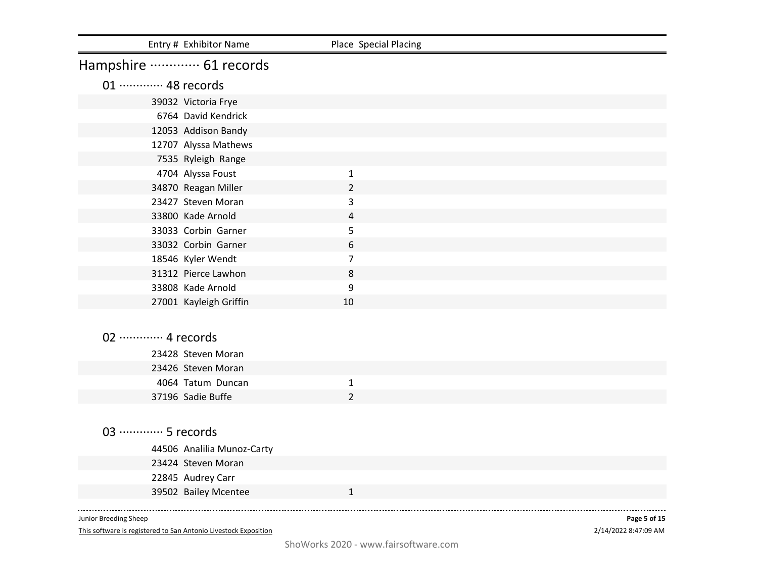| Entry # Exhibitor Name      | Place Special Placing |  |
|-----------------------------|-----------------------|--|
| Hampshire ………… 61 records   |                       |  |
| 01 ············· 48 records |                       |  |
| 39032 Victoria Frye         |                       |  |
| 6764 David Kendrick         |                       |  |
| 12053 Addison Bandy         |                       |  |
| 12707 Alyssa Mathews        |                       |  |
| 7535 Ryleigh Range          |                       |  |
| 4704 Alyssa Foust           | $\mathbf{1}$          |  |
| 34870 Reagan Miller         | $\overline{2}$        |  |
| 23427 Steven Moran          | 3                     |  |
| 33800 Kade Arnold           | 4                     |  |
| 33033 Corbin Garner         | 5                     |  |
| 33032 Corbin Garner         | 6                     |  |
| 18546 Kyler Wendt           | $\overline{7}$        |  |
| 31312 Pierce Lawhon         | 8                     |  |
| 33808 Kade Arnold           | 9                     |  |
| 27001 Kayleigh Griffin      | 10                    |  |
|                             |                       |  |
| 02 ············· 4 records  |                       |  |
| 23428 Steven Moran          |                       |  |
| 23426 Steven Moran          |                       |  |
| 4064 Tatum Duncan           | $\mathbf{1}$          |  |
| 37196 Sadie Buffe           | $\overline{2}$        |  |
|                             |                       |  |
|                             |                       |  |
| 03 ………… 5 records           |                       |  |
| 44506 Analilia Munoz-Carty  |                       |  |
| 23424 Steven Moran          |                       |  |
| 22845 Audrey Carr           |                       |  |
| 39502 Bailey Mcentee        | $\mathbf{1}$          |  |
|                             |                       |  |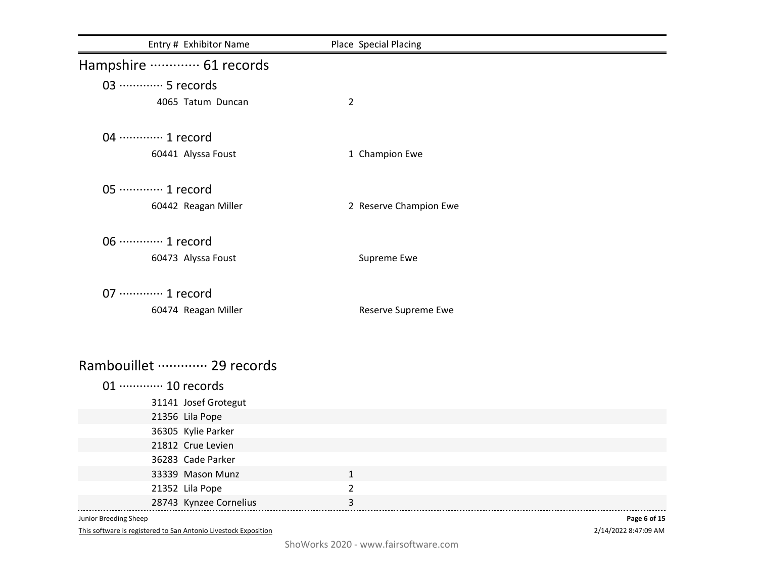| Entry # Exhibitor Name      | Place Special Placing  |  |
|-----------------------------|------------------------|--|
| Hampshire ………… 61 records   |                        |  |
| 03 ………… 5 records           |                        |  |
| 4065 Tatum Duncan           | $\overline{2}$         |  |
| 04 ………… 1 record            |                        |  |
| 60441 Alyssa Foust          | 1 Champion Ewe         |  |
| 05 ·············· 1 record  |                        |  |
| 60442 Reagan Miller         | 2 Reserve Champion Ewe |  |
| 06 ············· 1 record   |                        |  |
| 60473 Alyssa Foust          | Supreme Ewe            |  |
| 07 ············· 1 record   |                        |  |
| 60474 Reagan Miller         | Reserve Supreme Ewe    |  |
|                             |                        |  |
| Rambouillet ………… 29 records |                        |  |
| 01 ············· 10 records |                        |  |
| 31141 Josef Grotegut        |                        |  |
| 21356 Lila Pope             |                        |  |
| 36305 Kylie Parker          |                        |  |
| 21812 Crue Levien           |                        |  |
| 36283 Cade Parker           |                        |  |
| 33339 Mason Munz            | $\mathbf{1}$           |  |
| 21352 Lila Pope             | $\overline{2}$         |  |
| 28743 Kynzee Cornelius      | 3                      |  |

This software is registered to San Antonio Livestock Exposition

2/14/2022 8:47:09 AM **Page 6 of 15**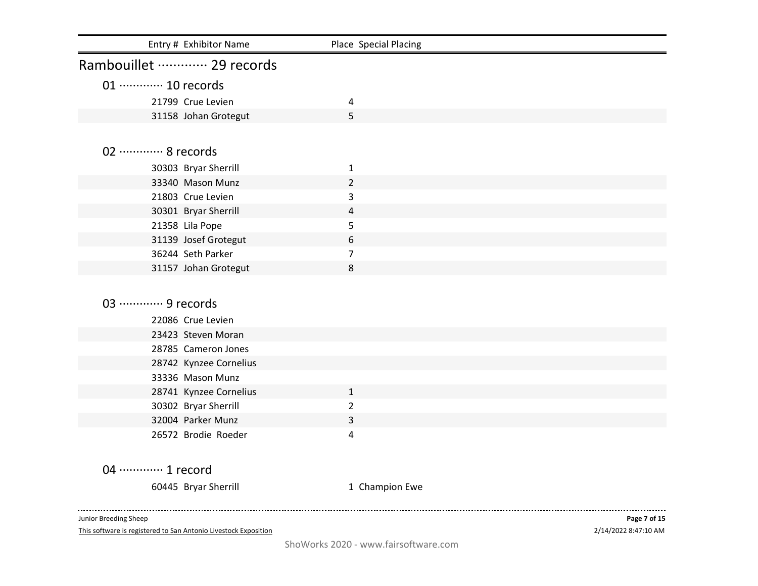| Entry # Exhibitor Name      | Place Special Placing |              |
|-----------------------------|-----------------------|--------------|
| Rambouillet ………… 29 records |                       |              |
| 01 ············· 10 records |                       |              |
| 21799 Crue Levien           | 4                     |              |
| 31158 Johan Grotegut        | 5                     |              |
|                             |                       |              |
| 02 ············· 8 records  |                       |              |
| 30303 Bryar Sherrill        | $\mathbf{1}$          |              |
| 33340 Mason Munz            | $\overline{2}$        |              |
| 21803 Crue Levien           | 3                     |              |
| 30301 Bryar Sherrill        | 4                     |              |
| 21358 Lila Pope             | 5                     |              |
| 31139 Josef Grotegut        | 6                     |              |
| 36244 Seth Parker           | $\overline{7}$        |              |
| 31157 Johan Grotegut        | 8                     |              |
|                             |                       |              |
| 03 ………… 9 records           |                       |              |
| 22086 Crue Levien           |                       |              |
| 23423 Steven Moran          |                       |              |
| 28785 Cameron Jones         |                       |              |
| 28742 Kynzee Cornelius      |                       |              |
| 33336 Mason Munz            |                       |              |
| 28741 Kynzee Cornelius      | $\mathbf{1}$          |              |
| 30302 Bryar Sherrill        | $\overline{2}$        |              |
| 32004 Parker Munz           | 3                     |              |
| 26572 Brodie Roeder         | 4                     |              |
|                             |                       |              |
| 04 ………… 1 record            |                       |              |
| 60445 Bryar Sherrill        | 1 Champion Ewe        |              |
| Junior Breeding Sheep       |                       | Page 7 of 15 |

This software is registered to San Antonio Livestock Exposition

2/14/2022 8:47:10 AM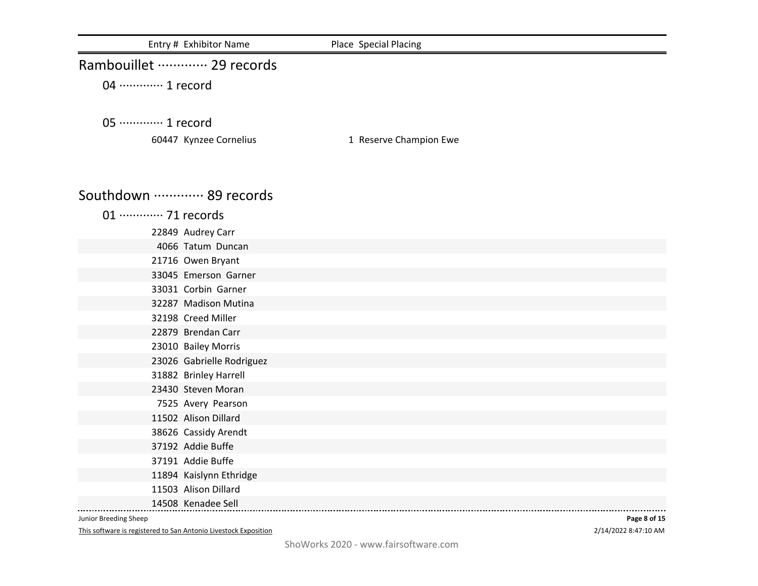| Entry # Exhibitor Name                      | Place Special Placing  |
|---------------------------------------------|------------------------|
| Rambouillet ………… 29 records                 |                        |
| 04 ………… 1 record                            |                        |
|                                             |                        |
| 05 ·············· 1 record                  |                        |
| 60447 Kynzee Cornelius                      | 1 Reserve Champion Ewe |
| Southdown  89 records                       |                        |
|                                             |                        |
| 01 ············· 71 records                 |                        |
| 22849 Audrey Carr                           |                        |
| 4066 Tatum Duncan                           |                        |
| 21716 Owen Bryant                           |                        |
| 33045 Emerson Garner                        |                        |
| 33031 Corbin Garner<br>32287 Madison Mutina |                        |
| 32198 Creed Miller                          |                        |
| 22879 Brendan Carr                          |                        |
| 23010 Bailey Morris                         |                        |
| 23026 Gabrielle Rodriguez                   |                        |
| 31882 Brinley Harrell                       |                        |
| 23430 Steven Moran                          |                        |
| 7525 Avery Pearson                          |                        |
| 11502 Alison Dillard                        |                        |
| 38626 Cassidy Arendt                        |                        |
| 37192 Addie Buffe                           |                        |
| 37191 Addie Buffe                           |                        |
| 11894 Kaislynn Ethridge                     |                        |
| 11503 Alison Dillard                        |                        |
| 14508 Kenadee Sell                          |                        |

This software is registered to San Antonio Livestock Exposition

2/14/2022 8:47:10 AM **Page 8 of 15**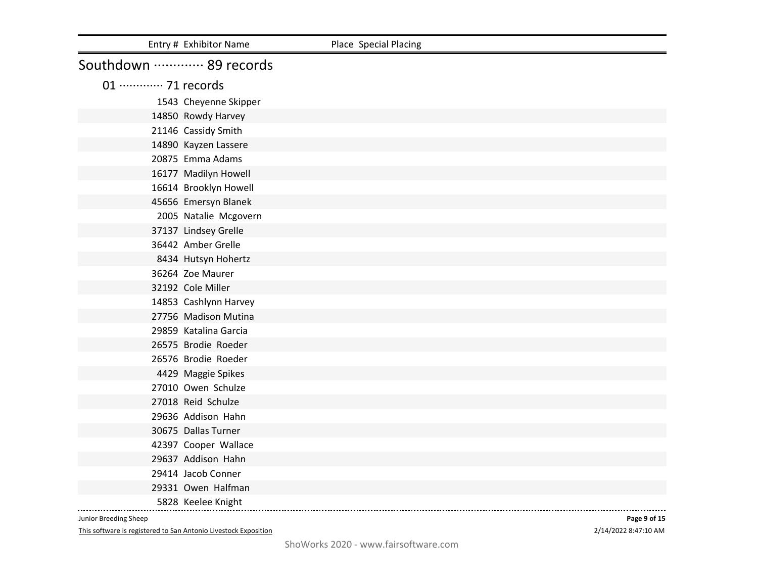|                             | Entry # Exhibitor Name | Place Special Placing |
|-----------------------------|------------------------|-----------------------|
| Southdown  89 records       |                        |                       |
| 01 ············· 71 records |                        |                       |
|                             | 1543 Cheyenne Skipper  |                       |
|                             | 14850 Rowdy Harvey     |                       |
|                             | 21146 Cassidy Smith    |                       |
|                             | 14890 Kayzen Lassere   |                       |
|                             | 20875 Emma Adams       |                       |
|                             | 16177 Madilyn Howell   |                       |
|                             | 16614 Brooklyn Howell  |                       |
|                             | 45656 Emersyn Blanek   |                       |
|                             | 2005 Natalie Mcgovern  |                       |
|                             | 37137 Lindsey Grelle   |                       |
|                             | 36442 Amber Grelle     |                       |
|                             | 8434 Hutsyn Hohertz    |                       |
|                             | 36264 Zoe Maurer       |                       |
|                             | 32192 Cole Miller      |                       |
|                             | 14853 Cashlynn Harvey  |                       |
|                             | 27756 Madison Mutina   |                       |
|                             | 29859 Katalina Garcia  |                       |
|                             | 26575 Brodie Roeder    |                       |
|                             | 26576 Brodie Roeder    |                       |
|                             | 4429 Maggie Spikes     |                       |
|                             | 27010 Owen Schulze     |                       |
|                             | 27018 Reid Schulze     |                       |
|                             | 29636 Addison Hahn     |                       |
|                             | 30675 Dallas Turner    |                       |
|                             | 42397 Cooper Wallace   |                       |
|                             | 29637 Addison Hahn     |                       |
|                             | 29414 Jacob Conner     |                       |
|                             | 29331 Owen Halfman     |                       |
|                             | 5828 Keelee Knight     |                       |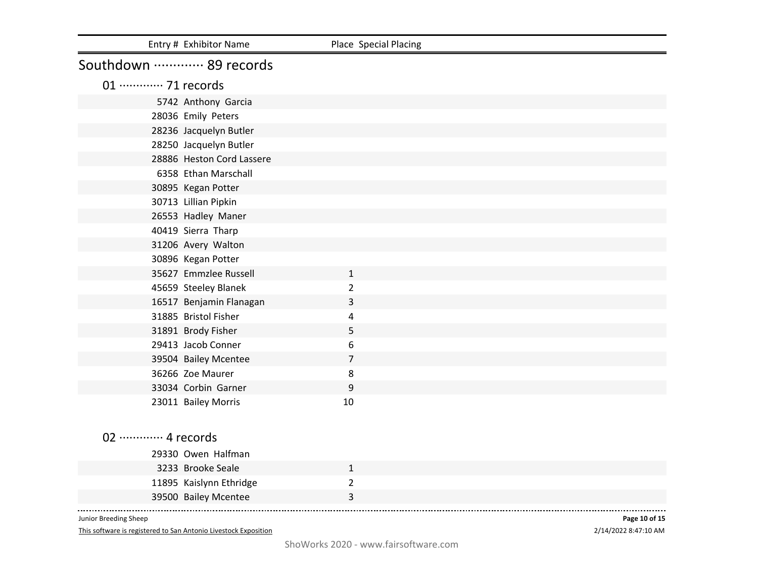|                             | Entry # Exhibitor Name    | Place Special Placing |  |
|-----------------------------|---------------------------|-----------------------|--|
| Southdown  89 records       |                           |                       |  |
| 01 ············· 71 records |                           |                       |  |
|                             | 5742 Anthony Garcia       |                       |  |
|                             | 28036 Emily Peters        |                       |  |
|                             | 28236 Jacquelyn Butler    |                       |  |
|                             | 28250 Jacquelyn Butler    |                       |  |
|                             | 28886 Heston Cord Lassere |                       |  |
|                             | 6358 Ethan Marschall      |                       |  |
|                             | 30895 Kegan Potter        |                       |  |
|                             | 30713 Lillian Pipkin      |                       |  |
|                             | 26553 Hadley Maner        |                       |  |
|                             | 40419 Sierra Tharp        |                       |  |
|                             | 31206 Avery Walton        |                       |  |
|                             | 30896 Kegan Potter        |                       |  |
|                             | 35627 Emmzlee Russell     | $\mathbf{1}$          |  |
|                             | 45659 Steeley Blanek      | $\overline{2}$        |  |
|                             | 16517 Benjamin Flanagan   | 3                     |  |
|                             | 31885 Bristol Fisher      | 4                     |  |
|                             | 31891 Brody Fisher        | 5                     |  |
|                             | 29413 Jacob Conner        | 6                     |  |
|                             | 39504 Bailey Mcentee      | $\overline{7}$        |  |
|                             | 36266 Zoe Maurer          | 8                     |  |
|                             | 33034 Corbin Garner       | 9                     |  |
|                             | 23011 Bailey Morris       | 10                    |  |
|                             |                           |                       |  |
| 02 ············· 4 records  |                           |                       |  |
|                             | 29330 Owen Halfman        |                       |  |
|                             | 3233 Brooke Seale         | $\mathbf{1}$          |  |
|                             | 11895 Kaislynn Ethridge   | $\overline{2}$        |  |
|                             | 39500 Bailey Mcentee      | 3                     |  |

This software is registered to San Antonio Livestock Exposition

2/14/2022 8:47:10 AM **Page 10 of 15**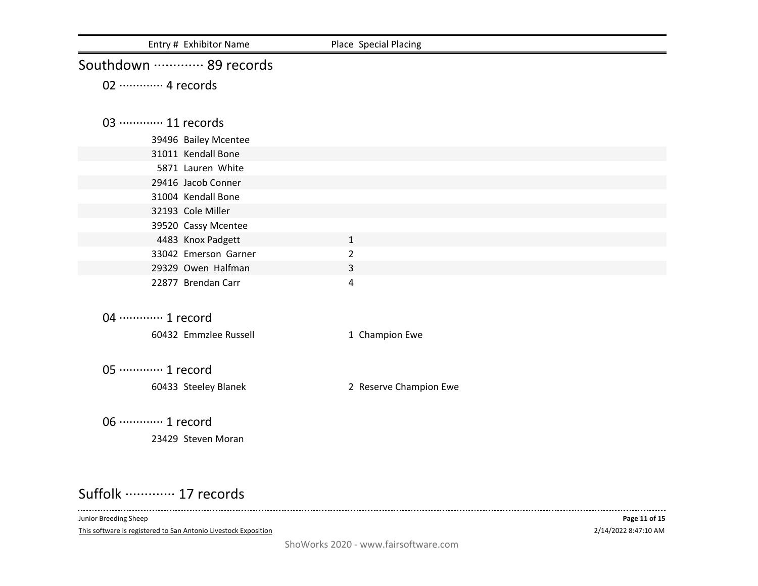| Entry # Exhibitor Name     | Place Special Placing  |  |
|----------------------------|------------------------|--|
| Southdown  89 records      |                        |  |
| 02 ············· 4 records |                        |  |
|                            |                        |  |
| 03  11 records             |                        |  |
| 39496 Bailey Mcentee       |                        |  |
| 31011 Kendall Bone         |                        |  |
| 5871 Lauren White          |                        |  |
| 29416 Jacob Conner         |                        |  |
| 31004 Kendall Bone         |                        |  |
| 32193 Cole Miller          |                        |  |
| 39520 Cassy Mcentee        |                        |  |
| 4483 Knox Padgett          | $\mathbf{1}$           |  |
| 33042 Emerson Garner       | $\overline{2}$         |  |
| 29329 Owen Halfman         | 3                      |  |
| 22877 Brendan Carr         | 4                      |  |
|                            |                        |  |
| 04 ………… 1 record           |                        |  |
| 60432 Emmzlee Russell      | 1 Champion Ewe         |  |
|                            |                        |  |
| 05 ············· 1 record  |                        |  |
| 60433 Steeley Blanek       | 2 Reserve Champion Ewe |  |
|                            |                        |  |
| 06 ············· 1 record  |                        |  |
| 23429 Steven Moran         |                        |  |
|                            |                        |  |

## Suffolk ·············· 17 records

Junior Breeding Sheep

 $\sim$   $\sim$   $\sim$ 

This software is registered to San Antonio Livestock Exposition

----------------------------------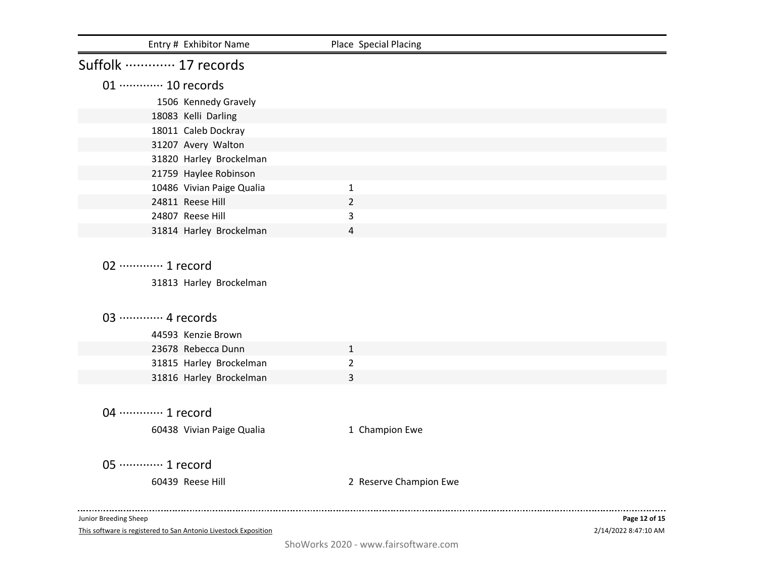| Entry # Exhibitor Name                                                                           | Place Special Placing  |               |
|--------------------------------------------------------------------------------------------------|------------------------|---------------|
| Suffolk ………… 17 records                                                                          |                        |               |
| 01 ············· 10 records                                                                      |                        |               |
| 1506 Kennedy Gravely                                                                             |                        |               |
| 18083 Kelli Darling                                                                              |                        |               |
| 18011 Caleb Dockray                                                                              |                        |               |
| 31207 Avery Walton                                                                               |                        |               |
| 31820 Harley Brockelman                                                                          |                        |               |
| 21759 Haylee Robinson                                                                            |                        |               |
| 10486 Vivian Paige Qualia                                                                        | $\mathbf{1}$           |               |
| 24811 Reese Hill                                                                                 | $\overline{2}$         |               |
| 24807 Reese Hill                                                                                 | 3                      |               |
| 31814 Harley Brockelman                                                                          | 4                      |               |
| 02 ·············· 1 record<br>31813 Harley Brockelman<br>03 ………… 4 records<br>44593 Kenzie Brown |                        |               |
| 23678 Rebecca Dunn                                                                               | $\mathbf{1}$           |               |
| 31815 Harley Brockelman                                                                          | $\overline{2}$         |               |
| 31816 Harley Brockelman                                                                          | 3                      |               |
| 04 ············· 1 record<br>60438 Vivian Paige Qualia                                           | 1 Champion Ewe         |               |
| 05 ············· 1 record                                                                        |                        |               |
| 60439 Reese Hill                                                                                 | 2 Reserve Champion Ewe |               |
| Junior Breeding Sheep                                                                            |                        | Page 12 of 15 |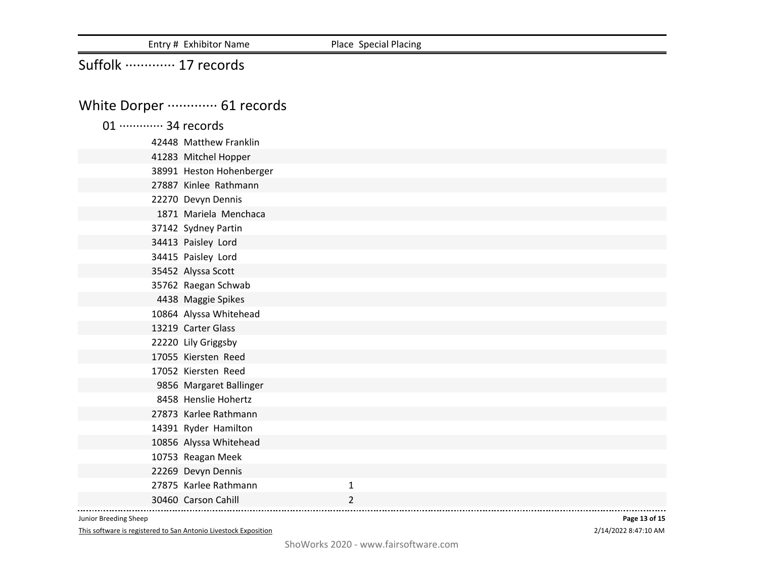Entry # Exhibitor Name Place Special Placing

## Suffolk ·············· 17 records

# White Dorper ·············· 61 records

| 01 ············· 34 records |  |                        |
|-----------------------------|--|------------------------|
|                             |  | 42448 Matthew Franklin |

| 41283 Mitchel Hopper     |                |  |
|--------------------------|----------------|--|
| 38991 Heston Hohenberger |                |  |
| 27887 Kinlee Rathmann    |                |  |
| 22270 Devyn Dennis       |                |  |
| 1871 Mariela Menchaca    |                |  |
| 37142 Sydney Partin      |                |  |
| 34413 Paisley Lord       |                |  |
| 34415 Paisley Lord       |                |  |
| 35452 Alyssa Scott       |                |  |
| 35762 Raegan Schwab      |                |  |
| 4438 Maggie Spikes       |                |  |
| 10864 Alyssa Whitehead   |                |  |
| 13219 Carter Glass       |                |  |
| 22220 Lily Griggsby      |                |  |
| 17055 Kiersten Reed      |                |  |
| 17052 Kiersten Reed      |                |  |
| 9856 Margaret Ballinger  |                |  |
| 8458 Henslie Hohertz     |                |  |
| 27873 Karlee Rathmann    |                |  |
| 14391 Ryder Hamilton     |                |  |
| 10856 Alyssa Whitehead   |                |  |
| 10753 Reagan Meek        |                |  |
| 22269 Devyn Dennis       |                |  |
| 27875 Karlee Rathmann    | $\mathbf{1}$   |  |
| 30460 Carson Cahill      | $\overline{2}$ |  |

Junior Breeding Sheep

This software is registered to San Antonio Livestock Exposition

2/14/2022 8:47:10 AM **Page 13 of 15**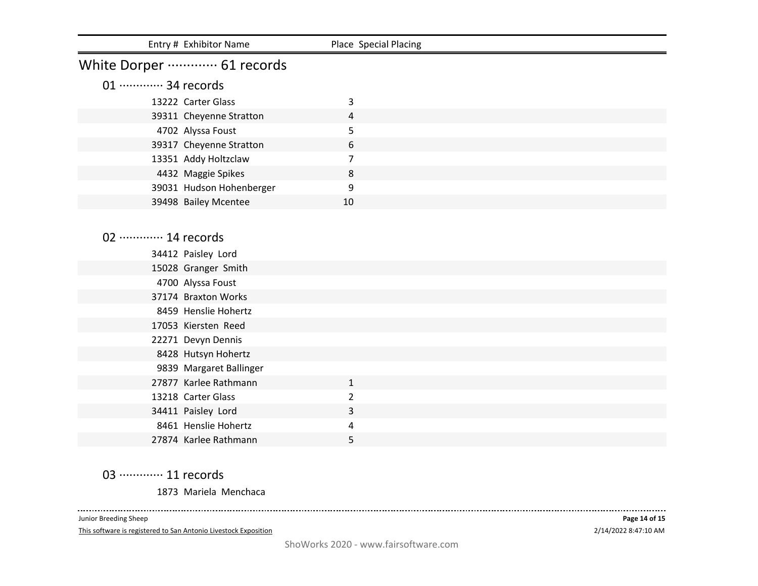|                             | Entry # Exhibitor Name       | Place Special Placing |  |
|-----------------------------|------------------------------|-----------------------|--|
|                             | White Dorper ………… 61 records |                       |  |
| 01 ············· 34 records |                              |                       |  |
|                             | 13222 Carter Glass           | 3                     |  |
|                             | 39311 Cheyenne Stratton      | 4                     |  |
|                             | 4702 Alyssa Foust            | 5                     |  |
|                             | 39317 Cheyenne Stratton      | 6                     |  |
|                             | 13351 Addy Holtzclaw         | $\overline{7}$        |  |
|                             | 4432 Maggie Spikes           | 8                     |  |
|                             | 39031 Hudson Hohenberger     | 9                     |  |
|                             | 39498 Bailey Mcentee         | 10                    |  |
|                             |                              |                       |  |
| 02 ············· 14 records |                              |                       |  |
|                             | 34412 Paisley Lord           |                       |  |
|                             | 15028 Granger Smith          |                       |  |
|                             | 4700 Alyssa Foust            |                       |  |
|                             | 37174 Braxton Works          |                       |  |
|                             | 8459 Henslie Hohertz         |                       |  |
|                             | 17053 Kiersten Reed          |                       |  |
|                             | 22271 Devyn Dennis           |                       |  |
|                             | 8428 Hutsyn Hohertz          |                       |  |
|                             | 9839 Margaret Ballinger      |                       |  |
|                             | 27877 Karlee Rathmann        | $\mathbf{1}$          |  |
|                             | 13218 Carter Glass           | $\overline{2}$        |  |
|                             | 34411 Paisley Lord           | 3                     |  |
|                             | 8461 Henslie Hohertz         | 4                     |  |
|                             | 27874 Karlee Rathmann        | 5                     |  |

03 ··············· 11 records

Mariela Menchaca

\_\_\_\_\_\_\_\_\_\_\_\_\_\_\_\_\_\_\_\_\_\_\_\_\_\_\_\_\_ Junior Breeding Sheep

This software is registered to San Antonio Livestock Exposition

------------------